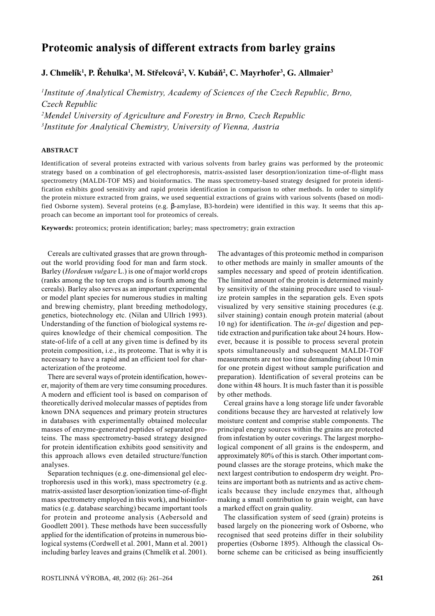# Proteomic analysis of different extracts from barley grains

# J. Chmelík<sup>1</sup>, P. Řehulka<sup>1</sup>, M. Střelcová<sup>2</sup>, V. Kubáň<sup>2</sup>, C. Mayrhofer<sup>3</sup>, G. Allmaier<sup>3</sup>

<sup>1</sup>Institute of Analytical Chemistry, Academy of Sciences of the Czech Republic, Brno, Czech Republic <sup>2</sup>Mendel University of Agriculture and Forestry in Brno, Czech Republic

 ${}^{3}$ Institute for Analytical Chemistry, University of Vienna, Austria

# **ABSTRACT**

Identification of several proteins extracted with various solvents from barley grains was performed by the proteomic strategy based on a combination of gel electrophoresis, matrix-assisted laser desorption/ionization time-of-flight mass spectrometry (MALDI-TOF MS) and bioinformatics. The mass spectrometry-based strategy designed for protein identification exhibits good sensitivity and rapid protein identification in comparison to other methods. In order to simplify the protein mixture extracted from grains, we used sequential extractions of grains with various solvents (based on modified Osborne system). Several proteins (e.g. β-amylase, B3-hordein) were identified in this way. It seems that this approach can become an important tool for proteomics of cereals.

**Keywords:** proteomics; protein identification; barley; mass spectrometry; grain extraction

Cereals are cultivated grasses that are grown throughout the world providing food for man and farm stock. Barley (*Hordeum vulgare* L.) is one of major world crops (ranks among the top ten crops and is fourth among the cereals). Barley also serves as an important experimental or model plant species for numerous studies in malting and brewing chemistry, plant breeding methodology, genetics, biotechnology etc. (Nilan and Ullrich 1993). Understanding of the function of biological systems requires knowledge of their chemical composition. The state-of-life of a cell at any given time is defined by its protein composition, i.e., its proteome. That is why it is necessary to have a rapid and an efficient tool for characterization of the proteome.

There are several ways of protein identification, however, majority of them are very time consuming procedures. A modern and efficient tool is based on comparison of theoretically derived molecular masses of peptides from known DNA sequences and primary protein structures in databases with experimentally obtained molecular masses of enzyme-generated peptides of separated proteins. The mass spectrometry-based strategy designed for protein identification exhibits good sensitivity and this approach allows even detailed structure/function analyses.

Separation techniques (e.g. one-dimensional gel electrophoresis used in this work), mass spectrometry (e.g. matrix-assisted laser desorption/ionization time-of-flight mass spectrometry employed in this work), and bioinformatics (e.g. database searching) became important tools for protein and proteome analysis (Aebersold and Goodlett 2001). These methods have been successfully applied for the identification of proteins in numerous biological systems (Cordwell et al. 2001, Mann et al. 2001) including barley leaves and grains (Chmelík et al. 2001). The advantages of this proteomic method in comparison to other methods are mainly in smaller amounts of the samples necessary and speed of protein identification. The limited amount of the protein is determined mainly by sensitivity of the staining procedure used to visualize protein samples in the separation gels. Even spots visualized by very sensitive staining procedures (e.g. silver staining) contain enough protein material (about 10 ng) for identification. The *in-gel* digestion and peptide extraction and purification take about 24 hours. However, because it is possible to process several protein spots simultaneously and subsequent MALDI-TOF measurements are not too time demanding (about 10 min for one protein digest without sample purification and preparation). Identification of several proteins can be done within 48 hours. It is much faster than it is possible by other methods.

Cereal grains have a long storage life under favorable conditions because they are harvested at relatively low moisture content and comprise stable components. The principal energy sources within the grains are protected from infestation by outer coverings. The largest morphological component of all grains is the endosperm, and approximately 80% of this is starch. Other important compound classes are the storage proteins, which make the next largest contribution to endosperm dry weight. Proteins are important both as nutrients and as active chemicals because they include enzymes that, although making a small contribution to grain weight, can have a marked effect on grain quality.

The classification system of seed (grain) proteins is based largely on the pioneering work of Osborne, who recognised that seed proteins differ in their solubility properties (Osborne 1895). Although the classical Osborne scheme can be criticised as being insufficiently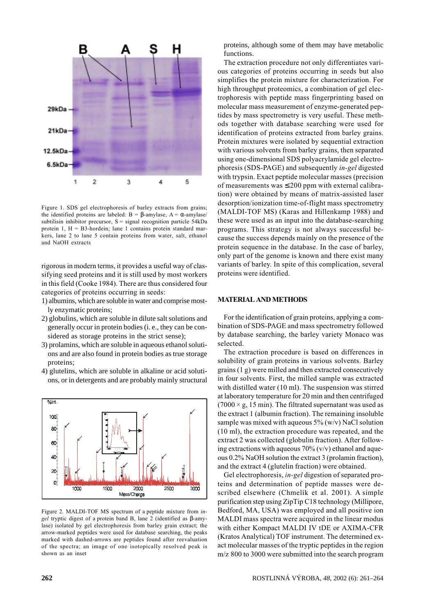

Figure 1. SDS gel electrophoresis of barley extracts from grains; the identified proteins are labeled:  $B = \beta$ -amylase,  $A = \alpha$ -amylase/ subtilisin inhibitor precursor,  $S =$  signal recognition particle 54kDa protein 1,  $H = B3$ -hordein; lane 1 contains protein standard markers, lane 2 to lane 5 contain proteins from water, salt, ethanol and NaOH extracts

rigorous in modern terms, it provides a useful way of classifying seed proteins and it is still used by most workers in this field (Cooke 1984). There are thus considered four categories of proteins occurring in seeds:

- 1) albumins, which are soluble in water and comprise mostly enzymatic proteins;
- 2) globulins, which are soluble in dilute salt solutions and generally occur in protein bodies (i.e., they can be considered as storage proteins in the strict sense);
- 3) prolamins, which are soluble in aqueous ethanol solutions and are also found in protein bodies as true storage proteins;
- 4) glutelins, which are soluble in alkaline or acid solutions, or in detergents and are probably mainly structural



Figure 2. MALDI-TOF MS spectrum of a peptide mixture from ingel tryptic digest of a protein band B, lane 2 (identified as  $\beta$ -amylase) isolated by gel electrophoresis from barley grain extract; the arrow-marked peptides were used for database searching, the peaks marked with dashed-arrows are peptides found after reevaluation of the spectra; an image of one isotopically resolved peak is shown as an inset

proteins, although some of them may have metabolic functions.

The extraction procedure not only differentiates various categories of proteins occurring in seeds but also simplifies the protein mixture for characterization. For high throughput proteomics, a combination of gel electrophoresis with peptide mass fingerprinting based on molecular mass measurement of enzyme-generated peptides by mass spectrometry is very useful. These methods together with database searching were used for identification of proteins extracted from barley grains. Protein mixtures were isolated by sequential extraction with various solvents from barley grains, then separated using one-dimensional SDS polyacrylamide gel electrophoresis (SDS-PAGE) and subsequently in-gel digested with trypsin. Exact peptide molecular masses (precision of measurements was  $\leq 200$  ppm with external calibration) were obtained by means of matrix-assisted laser desorption/ionization time-of-flight mass spectrometry (MALDI-TOF MS) (Karas and Hillenkamp 1988) and these were used as an input into the database-searching programs. This strategy is not always successful because the success depends mainly on the presence of the protein sequence in the database. In the case of barley, only part of the genome is known and there exist many variants of barley. In spite of this complication, several proteins were identified.

## **MATERIAL AND METHODS**

For the identification of grain proteins, applying a combination of SDS-PAGE and mass spectrometry followed by database searching, the barley variety Monaco was selected.

The extraction procedure is based on differences in solubility of grain proteins in various solvents. Barley grains (1 g) were milled and then extracted consecutively in four solvents. First, the milled sample was extracted with distilled water (10 ml). The suspension was stirred at laboratory temperature for 20 min and then centrifuged  $(7000 \times g, 15 \text{ min})$ . The filtrated supernatant was used as the extract 1 (albumin fraction). The remaining insoluble sample was mixed with aqueous  $5\%$  (w/v) NaCl solution (10 ml), the extraction procedure was repeated, and the extract 2 was collected (globulin fraction). After following extractions with aqueous  $70\%$  (v/v) ethanol and aqueous 0.2% NaOH solution the extract 3 (prolamin fraction), and the extract 4 (glutelin fraction) were obtained.

Gel electrophoresis, in-gel digestion of separated proteins and determination of peptide masses were described elsewhere (Chmelik et al. 2001). A simple purification step using ZipTip C18 technology (Millipore, Bedford, MA, USA) was employed and all positive ion MALDI mass spectra were acquired in the linear modus with either Kompact MALDI IV tDE or AXIMA-CFR (Kratos Analytical) TOF instrument. The determined exact molecular masses of the tryptic peptides in the region m/z 800 to 3000 were submitted into the search program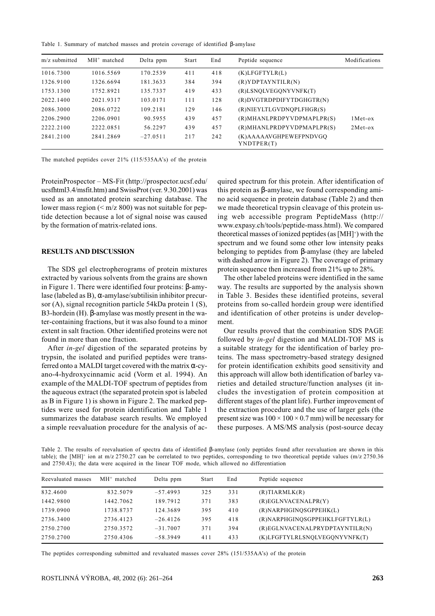Table 1. Summary of matched masses and protein coverage of identified ß-amylase

| $m/z$ submitted | $MH^+$ matched | Delta ppm  | Start | End | Peptide sequence                     | Modifications |
|-----------------|----------------|------------|-------|-----|--------------------------------------|---------------|
| 1016.7300       | 1016.5569      | 170.2539   | 411   | 418 | (K)LFGFTYLR(L)                       |               |
| 1326.9100       | 1326.6694      | 181.3633   | 384   | 394 | (R) Y DPTAYNTILR(N)                  |               |
| 1753.1300       | 1752.8921      | 135.7337   | 419   | 433 | (R)LSNQLVEGQNYVNFK(T)                |               |
| 2022.1400       | 2021.9317      | 103.0171   | 111   | 128 | (R)DVGTRDPDIFYTDGHGTR(N)             |               |
| 2086.3000       | 2086.0722      | 109.2181   | 129   | 146 | (R) NIEYLTLGVDNOPLFHGR(S)            |               |
| 2206.2900       | 2206.0901      | 90.5955    | 439   | 457 | (R)MHANLPRDPYVDPMAPLPR(S)            | $1$ Met-ox    |
| 2222.2100       | 2222.0851      | 56.2297    | 439   | 457 | (R) MHANLPRDPY VDPMAPLPR(S)          | $2$ Met-ox    |
| 2841.2100       | 2841.2869      | $-27.0511$ | 217   | 242 | (K)AAAAAVGHPEWEFPNDVGO<br>YNDTPER(T) |               |

The matched peptides cover 21% (115/535AA's) of the protein

ProteinProspector - MS-Fit (http://prospector.ucsf.edu/ ucsfhtml3.4/msfit.htm) and SwissProt (ver. 9.30.2001) was used as an annotated protein searching database. The lower mass region ( $\leq$  m/z 800) was not suitable for peptide detection because a lot of signal noise was caused by the formation of matrix-related ions.

## **RESULTS AND DISCUSSION**

The SDS gel electropherograms of protein mixtures extracted by various solvents from the grains are shown in Figure 1. There were identified four proteins:  $\beta$ -amylase (labeled as B),  $\alpha$ -amylase/subtilisin inhibitor precursor (A), signal recognition particle 54kDa protein 1 (S), B3-hordein (H).  $\beta$ -amylase was mostly present in the water-containing fractions, but it was also found to a minor extent in salt fraction. Other identified proteins were not found in more than one fraction.

After *in-gel* digestion of the separated proteins by trypsin, the isolated and purified peptides were transferred onto a MALDI target covered with the matrix  $\alpha$ -cyano-4-hydroxycinnamic acid (Vorm et al. 1994). An example of the MALDI-TOF spectrum of peptides from the aqueous extract (the separated protein spot is labeled as B in Figure 1) is shown in Figure 2. The marked peptides were used for protein identification and Table 1 summarizes the database search results. We employed a simple reevaluation procedure for the analysis of acquired spectrum for this protein. After identification of this protein as  $\beta$ -amylase, we found corresponding amino acid sequence in protein database (Table 2) and then we made theoretical trypsin cleavage of this protein using web accessible program PeptideMass (http:// www.expasy.ch/tools/peptide-mass.html). We compared theoretical masses of ionized peptides (as [MH]<sup>+</sup>) with the spectrum and we found some other low intensity peaks belonging to peptides from  $\beta$ -amylase (they are labeled with dashed arrow in Figure 2). The coverage of primary protein sequence then increased from 21% up to 28%.

The other labeled proteins were identified in the same way. The results are supported by the analysis shown in Table 3. Besides these identified proteins, several proteins from so-called hordein group were identified and identification of other proteins is under development

Our results proved that the combination SDS PAGE followed by in-gel digestion and MALDI-TOF MS is a suitable strategy for the identification of barley proteins. The mass spectrometry-based strategy designed for protein identification exhibits good sensitivity and this approach will allow both identification of barley varieties and detailed structure/function analyses (it includes the investigation of protein composition at different stages of the plant life). Further improvement of the extraction procedure and the use of larger gels (the present size was  $100 \times 100 \times 0.7$  mm) will be necessary for these purposes. A MS/MS analysis (post-source decay

Table 2. The results of reevaluation of spectra data of identified  $\beta$ -amylase (only peptides found after reevaluation are shown in this table); the [MH]<sup>+</sup> ion at m/z 2750.27 can be correlated to two peptides, corresponding to two theoretical peptide values (m/z 2750.36) and 2750.43); the data were acquired in the linear TOF mode, which allowed no differentiation

| Reevaluated masses | $MH^+$ matched | Delta ppm  | Start | End | Peptide sequence               |
|--------------------|----------------|------------|-------|-----|--------------------------------|
| 832.4600           | 832.5079       | $-57.4993$ | 325   | 331 | (R) T IARMLK(R)                |
| 1442.9800          | 1442.7062      | 189.7912   | 371   | 383 | (R)EGLNVACENALPR(Y)            |
| 1739.0900          | 1738.8737      | 124.3689   | 395   | 410 | (R) NARPHGINOSGPPEHK(L)        |
| 2736.3400          | 2736.4123      | $-26.4126$ | 395   | 418 | (R)NARPHGINOSGPPEHKLFGFTYLR(L) |
| 2750.2700          | 2750.3572      | $-31.7007$ | 371   | 394 | (R)EGLNVACENALPRYDPTAYNTILR(N) |
| 2750.2700          | 2750.4306      | $-58.3949$ | 411   | 433 | (K)LFGFTYLRLSNQLVEGQNYVNFK(T)  |

The peptides corresponding submitted and revaluated masses cover 28% (151/535AA's) of the protein